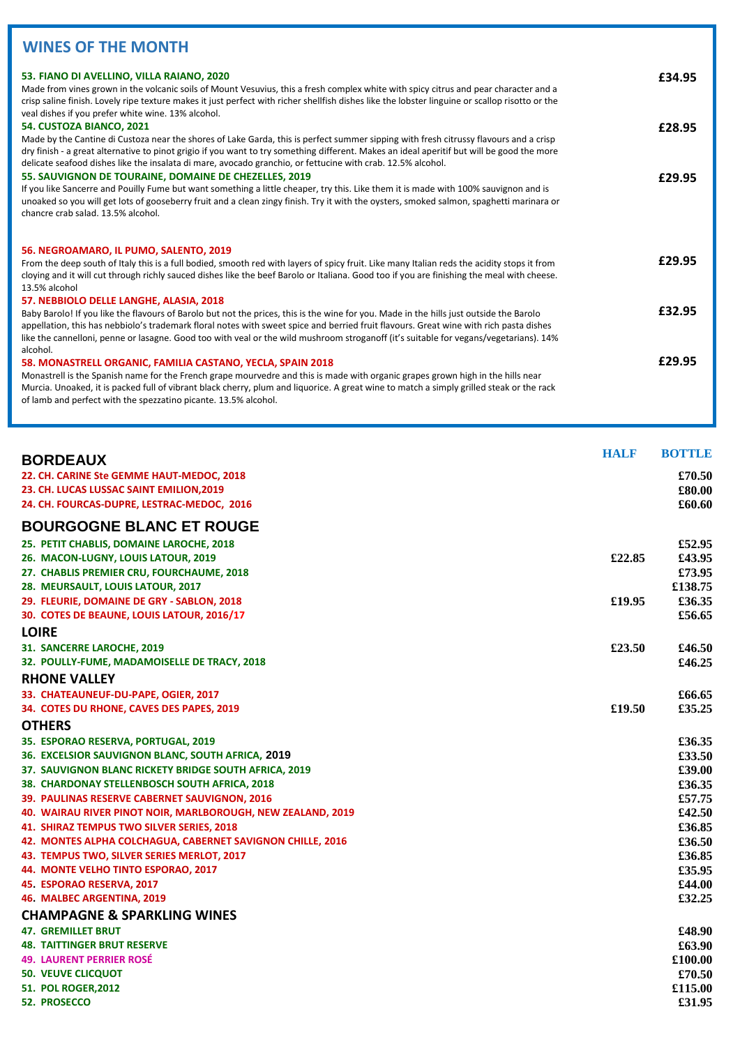## **WINES OF THE MONTH**

| 53. FIANO DI AVELLINO, VILLA RAIANO, 2020<br>Made from vines grown in the volcanic soils of Mount Vesuvius, this a fresh complex white with spicy citrus and pear character and a<br>crisp saline finish. Lovely ripe texture makes it just perfect with richer shellfish dishes like the lobster linguine or scallop risotto or the<br>veal dishes if you prefer white wine. 13% alcohol.<br>54. CUSTOZA BIANCO, 2021<br>Made by the Cantine di Custoza near the shores of Lake Garda, this is perfect summer sipping with fresh citrussy flavours and a crisp<br>dry finish - a great alternative to pinot grigio if you want to try something different. Makes an ideal aperitif but will be good the more<br>delicate seafood dishes like the insalata di mare, avocado granchio, or fettucine with crab. 12.5% alcohol. | £34.95<br>£28.95 |
|------------------------------------------------------------------------------------------------------------------------------------------------------------------------------------------------------------------------------------------------------------------------------------------------------------------------------------------------------------------------------------------------------------------------------------------------------------------------------------------------------------------------------------------------------------------------------------------------------------------------------------------------------------------------------------------------------------------------------------------------------------------------------------------------------------------------------|------------------|
| 55. SAUVIGNON DE TOURAINE, DOMAINE DE CHEZELLES, 2019<br>If you like Sancerre and Pouilly Fume but want something a little cheaper, try this. Like them it is made with 100% sauvignon and is<br>unoaked so you will get lots of gooseberry fruit and a clean zingy finish. Try it with the oysters, smoked salmon, spaghetti marinara or<br>chancre crab salad. 13.5% alcohol.                                                                                                                                                                                                                                                                                                                                                                                                                                              | £29.95           |
| 56. NEGROAMARO, IL PUMO, SALENTO, 2019<br>From the deep south of Italy this is a full bodied, smooth red with layers of spicy fruit. Like many Italian reds the acidity stops it from<br>cloying and it will cut through richly sauced dishes like the beef Barolo or Italiana. Good too if you are finishing the meal with cheese.<br>13.5% alcohol                                                                                                                                                                                                                                                                                                                                                                                                                                                                         | £29.95           |
| 57. NEBBIOLO DELLE LANGHE, ALASIA, 2018<br>Baby Barolo! If you like the flavours of Barolo but not the prices, this is the wine for you. Made in the hills just outside the Barolo<br>appellation, this has nebbiolo's trademark floral notes with sweet spice and berried fruit flavours. Great wine with rich pasta dishes<br>like the cannelloni, penne or lasagne. Good too with veal or the wild mushroom stroganoff (it's suitable for vegans/vegetarians). 14%                                                                                                                                                                                                                                                                                                                                                        | £32.95           |
| alcohol.<br>58. MONASTRELL ORGANIC, FAMILIA CASTANO, YECLA, SPAIN 2018<br>Monastrell is the Spanish name for the French grape mourvedre and this is made with organic grapes grown high in the hills near<br>Murcia. Unoaked, it is packed full of vibrant black cherry, plum and liquorice. A great wine to match a simply grilled steak or the rack<br>of lamb and perfect with the spezzatino picante. 13.5% alcohol.                                                                                                                                                                                                                                                                                                                                                                                                     | £29.95           |

| <b>BORDEAUX</b>                                             | <b>HALF</b> | <b>BOTTLE</b> |
|-------------------------------------------------------------|-------------|---------------|
| 22. CH. CARINE Ste GEMME HAUT-MEDOC, 2018                   |             | £70.50        |
| 23. CH. LUCAS LUSSAC SAINT EMILION, 2019                    |             | £80.00        |
| 24. CH. FOURCAS-DUPRE, LESTRAC-MEDOC, 2016                  |             | £60.60        |
| <b>BOURGOGNE BLANC ET ROUGE</b>                             |             |               |
| 25. PETIT CHABLIS, DOMAINE LAROCHE, 2018                    |             | £52.95        |
| 26. MACON-LUGNY, LOUIS LATOUR, 2019                         | £22.85      | £43.95        |
| 27. CHABLIS PREMIER CRU, FOURCHAUME, 2018                   |             | £73.95        |
| 28. MEURSAULT, LOUIS LATOUR, 2017                           |             | £138.75       |
| 29. FLEURIE, DOMAINE DE GRY - SABLON, 2018                  | £19.95      | £36.35        |
| 30. COTES DE BEAUNE, LOUIS LATOUR, 2016/17                  |             | £56.65        |
| <b>LOIRE</b>                                                |             |               |
| 31. SANCERRE LAROCHE, 2019                                  | £23.50      | £46.50        |
| 32. POULLY-FUME, MADAMOISELLE DE TRACY, 2018                |             | £46.25        |
| <b>RHONE VALLEY</b>                                         |             |               |
| 33. CHATEAUNEUF-DU-PAPE, OGIER, 2017                        |             | £66.65        |
| 34. COTES DU RHONE, CAVES DES PAPES, 2019                   | £19.50      | £35.25        |
| <b>OTHERS</b>                                               |             |               |
| 35. ESPORAO RESERVA, PORTUGAL, 2019                         |             | £36.35        |
| 36. EXCELSIOR SAUVIGNON BLANC, SOUTH AFRICA, 2019           |             | £33.50        |
| 37. SAUVIGNON BLANC RICKETY BRIDGE SOUTH AFRICA, 2019       |             | £39.00        |
| 38. CHARDONAY STELLENBOSCH SOUTH AFRICA, 2018               |             | £36.35        |
| 39. PAULINAS RESERVE CABERNET SAUVIGNON, 2016               |             | £57.75        |
| 40. WAIRAU RIVER PINOT NOIR, MARLBOROUGH, NEW ZEALAND, 2019 |             | £42.50        |
| 41. SHIRAZ TEMPUS TWO SILVER SERIES, 2018                   |             | £36.85        |
| 42. MONTES ALPHA COLCHAGUA, CABERNET SAVIGNON CHILLE, 2016  |             | £36.50        |
| 43. TEMPUS TWO, SILVER SERIES MERLOT, 2017                  |             | £36.85        |
| 44. MONTE VELHO TINTO ESPORAO, 2017                         |             | £35.95        |
| 45. ESPORAO RESERVA, 2017                                   |             | £44.00        |
| 46. MALBEC ARGENTINA, 2019                                  |             | £32.25        |
| <b>CHAMPAGNE &amp; SPARKLING WINES</b>                      |             |               |
| <b>47. GREMILLET BRUT</b>                                   |             | £48.90        |
| <b>48. TAITTINGER BRUT RESERVE</b>                          |             | £63.90        |
| <b>49. LAURENT PERRIER ROSÉ</b>                             |             | £100.00       |
| <b>50. VEUVE CLICQUOT</b>                                   |             | £70.50        |
| <b>51. POL ROGER, 2012</b>                                  |             | £115.00       |
| <b>52. PROSECCO</b>                                         |             | £31.95        |